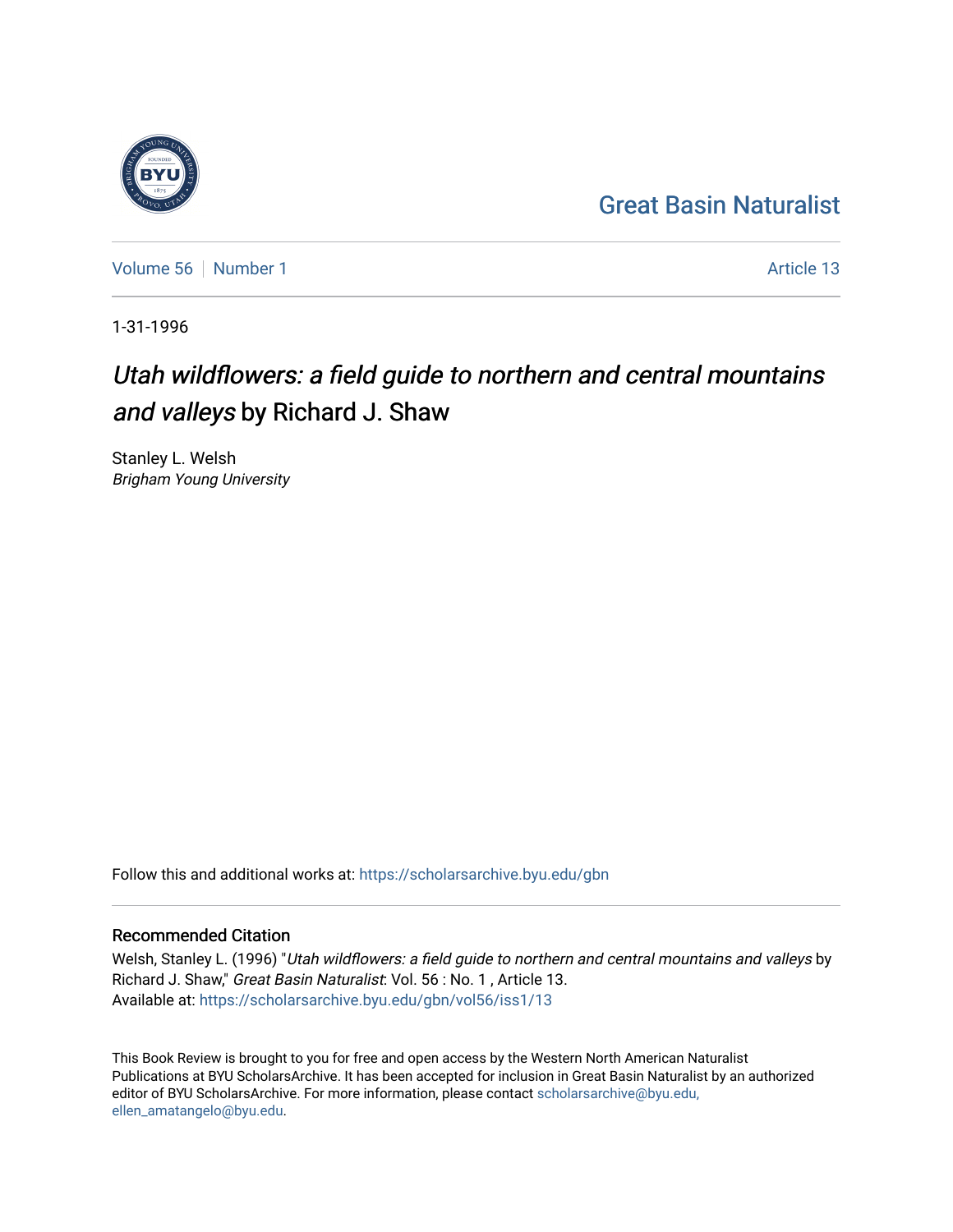## [Great Basin Naturalist](https://scholarsarchive.byu.edu/gbn)

[Volume 56](https://scholarsarchive.byu.edu/gbn/vol56) [Number 1](https://scholarsarchive.byu.edu/gbn/vol56/iss1) Article 13

1-31-1996

## Utah wildflowers: a field guide to northern and central mountains and valleys by Richard J. Shaw

Stanley L. Welsh Brigham Young University

Follow this and additional works at: [https://scholarsarchive.byu.edu/gbn](https://scholarsarchive.byu.edu/gbn?utm_source=scholarsarchive.byu.edu%2Fgbn%2Fvol56%2Fiss1%2F13&utm_medium=PDF&utm_campaign=PDFCoverPages) 

## Recommended Citation

Welsh, Stanley L. (1996) "Utah wildflowers: a field guide to northern and central mountains and valleys by Richard J. Shaw," Great Basin Naturalist: Vol. 56 : No. 1 , Article 13. Available at: [https://scholarsarchive.byu.edu/gbn/vol56/iss1/13](https://scholarsarchive.byu.edu/gbn/vol56/iss1/13?utm_source=scholarsarchive.byu.edu%2Fgbn%2Fvol56%2Fiss1%2F13&utm_medium=PDF&utm_campaign=PDFCoverPages) 

This Book Review is brought to you for free and open access by the Western North American Naturalist Publications at BYU ScholarsArchive. It has been accepted for inclusion in Great Basin Naturalist by an authorized editor of BYU ScholarsArchive. For more information, please contact [scholarsarchive@byu.edu,](mailto:scholarsarchive@byu.edu,%20ellen_amatangelo@byu.edu) [ellen\\_amatangelo@byu.edu](mailto:scholarsarchive@byu.edu,%20ellen_amatangelo@byu.edu).